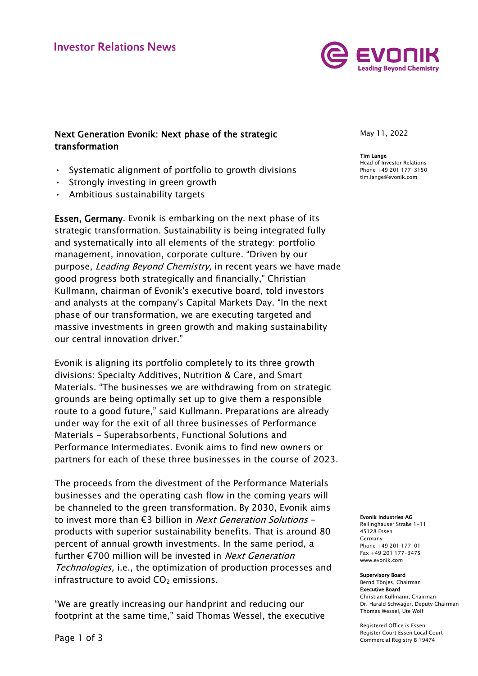

# Next Generation Evonik: Next phase of the strategic transformation

- Systematic alignment of portfolio to growth divisions
- Strongly investing in green growth
- Ambitious sustainability targets

Essen, Germany. Evonik is embarking on the next phase of its strategic transformation. Sustainability is being integrated fully and systematically into all elements of the strategy: portfolio management, innovation, corporate culture. "Driven by our purpose, Leading Beyond Chemistry, in recent years we have made good progress both strategically and financially," Christian Kullmann, chairman of Evonik's executive board, told investors and analysts at the company's Capital Markets Day. "In the next phase of our transformation, we are executing targeted and massive investments in green growth and making sustainability our central innovation driver."

Evonik is aligning its portfolio completely to its three growth divisions: Specialty Additives, Nutrition & Care, and Smart Materials. "The businesses we are withdrawing from on strategic grounds are being optimally set up to give them a responsible route to a good future," said Kullmann. Preparations are already under way for the exit of all three businesses of Performance Materials - Superabsorbents, Functional Solutions and Performance Intermediates. Evonik aims to find new owners or partners for each of these three businesses in the course of 2023.

The proceeds from the divestment of the Performance Materials businesses and the operating cash flow in the coming years will be channeled to the green transformation. By 2030, Evonik aims to invest more than  $\epsilon$ 3 billion in *Next Generation Solutions* products with superior sustainability benefits. That is around 80 percent of annual growth investments. In the same period, a further  $\epsilon$ 700 million will be invested in *Next Generation* Technologies, i.e., the optimization of production processes and infrastructure to avoid  $CO<sub>2</sub>$  emissions.

"We are greatly increasing our handprint and reducing our footprint at the same time," said Thomas Wessel, the executive May 11, 2022

## Tim Lange

Head of Investor Relations Phone +49 201 177-3150 tim.lange@evonik.com

#### Evonik Industries AG

Rellinghauser Straße 1-11 45128 Essen Germany Phone +49 201 177-01 Fax +49 201 177-3475 www.evonik.com

#### Supervisory Board

Bernd Tönjes, Chairman Executive Board Christian Kullmann, Chairman Dr. Harald Schwager, Deputy Chairman Thomas Wessel, Ute Wolf

Registered Office is Essen Register Court Essen Local Court Commercial Registry B 19474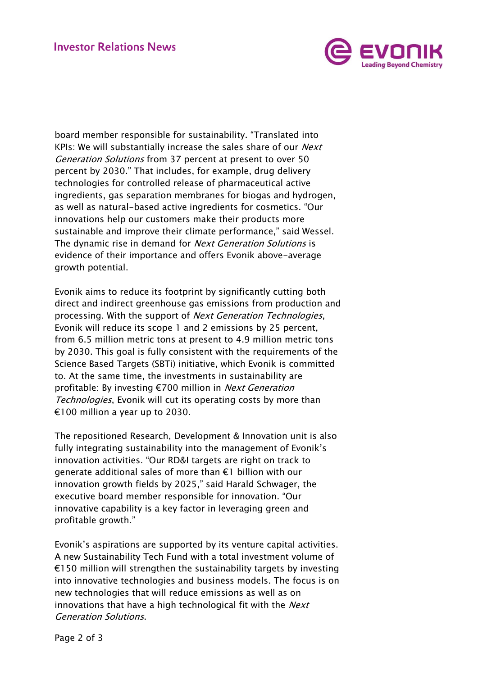

board member responsible for sustainability. "Translated into KPIs: We will substantially increase the sales share of our *Next* Generation Solutions from 37 percent at present to over 50 percent by 2030." That includes, for example, drug delivery technologies for controlled release of pharmaceutical active ingredients, gas separation membranes for biogas and hydrogen, as well as natural-based active ingredients for cosmetics. "Our innovations help our customers make their products more sustainable and improve their climate performance," said Wessel. The dynamic rise in demand for *Next Generation Solutions* is evidence of their importance and offers Evonik above-average growth potential.

Evonik aims to reduce its footprint by significantly cutting both direct and indirect greenhouse gas emissions from production and processing. With the support of Next Generation Technologies, Evonik will reduce its scope 1 and 2 emissions by 25 percent, from 6.5 million metric tons at present to 4.9 million metric tons by 2030. This goal is fully consistent with the requirements of the Science Based Targets (SBTi) initiative, which Evonik is committed to. At the same time, the investments in sustainability are profitable: By investing €700 million in Next Generation Technologies, Evonik will cut its operating costs by more than €100 million a year up to 2030.

The repositioned Research, Development & Innovation unit is also fully integrating sustainability into the management of Evonik's innovation activities. "Our RD&I targets are right on track to generate additional sales of more than €1 billion with our innovation growth fields by 2025," said Harald Schwager, the executive board member responsible for innovation. "Our innovative capability is a key factor in leveraging green and profitable growth."

Evonik's aspirations are supported by its venture capital activities. A new Sustainability Tech Fund with a total investment volume of  $€150$  million will strengthen the sustainability targets by investing into innovative technologies and business models. The focus is on new technologies that will reduce emissions as well as on innovations that have a high technological fit with the *Next* Generation Solutions.